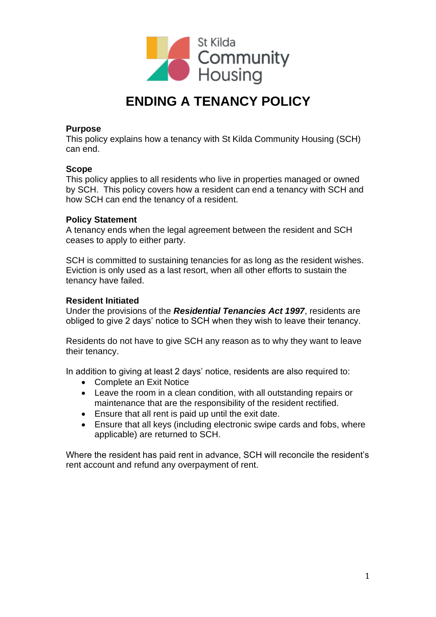

# **ENDING A TENANCY POLICY**

## **Purpose**

This policy explains how a tenancy with St Kilda Community Housing (SCH) can end.

## **Scope**

This policy applies to all residents who live in properties managed or owned by SCH. This policy covers how a resident can end a tenancy with SCH and how SCH can end the tenancy of a resident.

## **Policy Statement**

A tenancy ends when the legal agreement between the resident and SCH ceases to apply to either party.

SCH is committed to sustaining tenancies for as long as the resident wishes. Eviction is only used as a last resort, when all other efforts to sustain the tenancy have failed.

## **Resident Initiated**

Under the provisions of the *Residential Tenancies Act 1997*, residents are obliged to give 2 days' notice to SCH when they wish to leave their tenancy.

Residents do not have to give SCH any reason as to why they want to leave their tenancy.

In addition to giving at least 2 days' notice, residents are also required to:

- Complete an Exit Notice
- Leave the room in a clean condition, with all outstanding repairs or maintenance that are the responsibility of the resident rectified.
- Ensure that all rent is paid up until the exit date.
- Ensure that all keys (including electronic swipe cards and fobs, where applicable) are returned to SCH.

Where the resident has paid rent in advance, SCH will reconcile the resident's rent account and refund any overpayment of rent.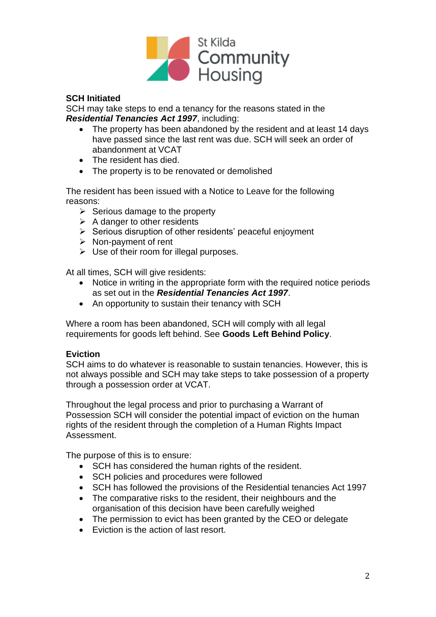

# **SCH Initiated**

SCH may take steps to end a tenancy for the reasons stated in the *Residential Tenancies Act 1997*, including:

- The property has been abandoned by the resident and at least 14 days have passed since the last rent was due. SCH will seek an order of abandonment at VCAT
- The resident has died.
- The property is to be renovated or demolished

The resident has been issued with a Notice to Leave for the following reasons:

- $\triangleright$  Serious damage to the property
- $\triangleright$  A danger to other residents
- ➢ Serious disruption of other residents' peaceful enjoyment
- ➢ Non-payment of rent
- $\triangleright$  Use of their room for illegal purposes.

At all times, SCH will give residents:

- Notice in writing in the appropriate form with the required notice periods as set out in the *Residential Tenancies Act 1997*.
- An opportunity to sustain their tenancy with SCH

Where a room has been abandoned, SCH will comply with all legal requirements for goods left behind. See **Goods Left Behind Policy**.

## **Eviction**

SCH aims to do whatever is reasonable to sustain tenancies. However, this is not always possible and SCH may take steps to take possession of a property through a possession order at VCAT.

Throughout the legal process and prior to purchasing a Warrant of Possession SCH will consider the potential impact of eviction on the human rights of the resident through the completion of a Human Rights Impact Assessment.

The purpose of this is to ensure:

- SCH has considered the human rights of the resident.
- SCH policies and procedures were followed
- SCH has followed the provisions of the Residential tenancies Act 1997
- The comparative risks to the resident, their neighbours and the organisation of this decision have been carefully weighed
- The permission to evict has been granted by the CEO or delegate
- Eviction is the action of last resort.